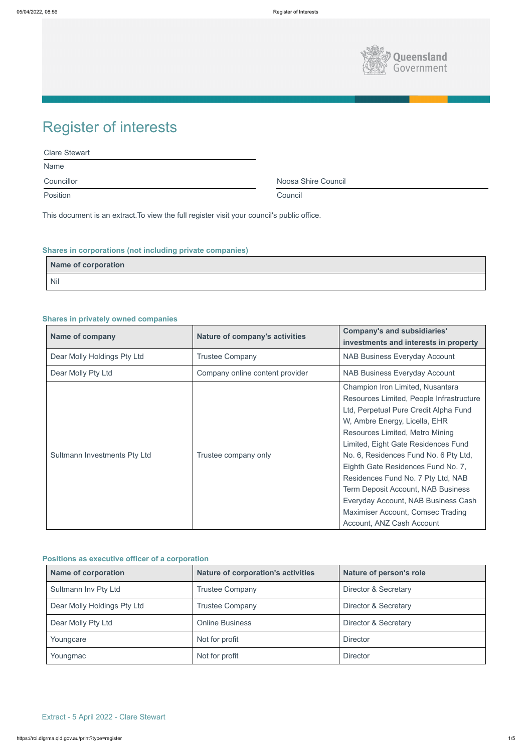

| <b>Clare Stewart</b> |                     |  |
|----------------------|---------------------|--|
| Name                 |                     |  |
| Councillor           | Noosa Shire Council |  |
| Position             | Council             |  |

# Register of interests

This document is an extract.To view the full register visit your council's public office.

# **Shares in corporations (not including private companies)**

| Name of corporation |  |
|---------------------|--|
| <b>Nil</b>          |  |

### **Shares in privately owned companies**

| <b>Name of company</b>              | <b>Nature of company's activities</b> | <b>Company's and subsidiaries'</b><br>investments and interests in property                                                                                                                                                                                                                                                                                                                                                                                                                                 |
|-------------------------------------|---------------------------------------|-------------------------------------------------------------------------------------------------------------------------------------------------------------------------------------------------------------------------------------------------------------------------------------------------------------------------------------------------------------------------------------------------------------------------------------------------------------------------------------------------------------|
| Dear Molly Holdings Pty Ltd         | <b>Trustee Company</b>                | <b>NAB Business Everyday Account</b>                                                                                                                                                                                                                                                                                                                                                                                                                                                                        |
| Dear Molly Pty Ltd                  | Company online content provider       | <b>NAB Business Everyday Account</b>                                                                                                                                                                                                                                                                                                                                                                                                                                                                        |
| <b>Sultmann Investments Pty Ltd</b> | Trustee company only                  | Champion Iron Limited, Nusantara<br>Resources Limited, People Infrastructure<br>Ltd, Perpetual Pure Credit Alpha Fund<br>W, Ambre Energy, Licella, EHR<br>Resources Limited, Metro Mining<br>Limited, Eight Gate Residences Fund<br>No. 6, Residences Fund No. 6 Pty Ltd,<br>Eighth Gate Residences Fund No. 7,<br>Residences Fund No. 7 Pty Ltd, NAB<br>Term Deposit Account, NAB Business<br>Everyday Account, NAB Business Cash<br><b>Maximiser Account, Comsec Trading</b><br>Account, ANZ Cash Account |

| <b>Name of corporation</b>  | <b>Nature of corporation's activities</b> | Nature of person's role         |
|-----------------------------|-------------------------------------------|---------------------------------|
| Sultmann Inv Pty Ltd        | <b>Trustee Company</b>                    | <b>Director &amp; Secretary</b> |
| Dear Molly Holdings Pty Ltd | <b>Trustee Company</b>                    | <b>Director &amp; Secretary</b> |
| Dear Molly Pty Ltd          | <b>Online Business</b>                    | Director & Secretary            |
| Youngcare                   | Not for profit                            | <b>Director</b>                 |
| Youngmac                    | Not for profit                            | <b>Director</b>                 |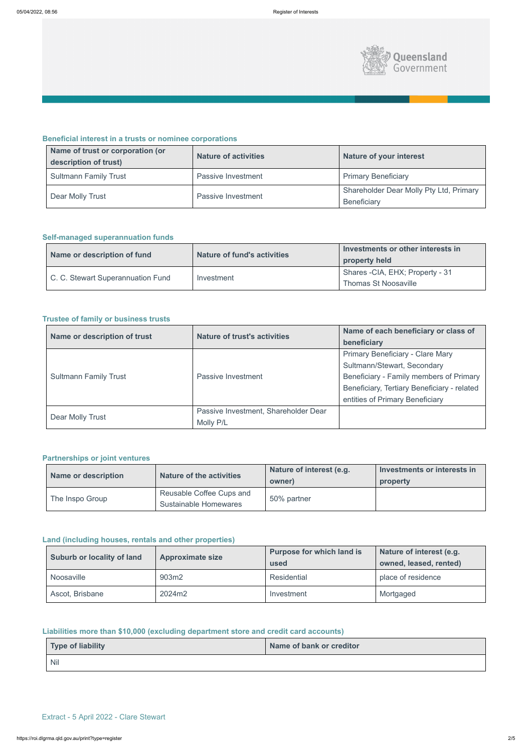

### **Beneficial interest in a trusts or nominee corporations**

| Name of trust or corporation (or<br>description of trust) | <b>Nature of activities</b> | <b>Nature of your interest</b>                                |
|-----------------------------------------------------------|-----------------------------|---------------------------------------------------------------|
| <b>Sultmann Family Trust</b>                              | Passive Investment          | <b>Primary Beneficiary</b>                                    |
| Dear Molly Trust                                          | <b>Passive Investment</b>   | Shareholder Dear Molly Pty Ltd, Primary<br><b>Beneficiary</b> |

### **Self-managed superannuation funds**

| Name or description of fund       | <b>Nature of fund's activities</b> | Investments or other interests in<br>property held              |
|-----------------------------------|------------------------------------|-----------------------------------------------------------------|
| C. C. Stewart Superannuation Fund | Investment                         | Shares - CIA, EHX; Property - 31<br><b>Thomas St Noosaville</b> |

### **Trustee of family or business trusts**

| Name or description of trust | <b>Nature of trust's activities</b>  | Name of each beneficiary or class of        |
|------------------------------|--------------------------------------|---------------------------------------------|
|                              |                                      | beneficiary                                 |
|                              |                                      | <b>Primary Beneficiary - Clare Mary</b>     |
|                              |                                      | Sultmann/Stewart, Secondary                 |
| <b>Sultmann Family Trust</b> | Passive Investment                   | Beneficiary - Family members of Primary     |
|                              |                                      | Beneficiary, Tertiary Beneficiary - related |
|                              |                                      | entities of Primary Beneficiary             |
|                              | Passive Investment, Shareholder Dear |                                             |
| Dear Molly Trust             | Molly P/L                            |                                             |

### **Partnerships or joint ventures**

| Name or description | <b>Nature of the activities</b>                          | Nature of interest (e.g.<br>owner) | Investments or interests in<br>property |
|---------------------|----------------------------------------------------------|------------------------------------|-----------------------------------------|
| The Inspo Group     | Reusable Coffee Cups and<br><b>Sustainable Homewares</b> | 50% partner                        |                                         |

### **Land (including houses, rentals and other properties)**

| <b>Suburb or locality of land</b> | <b>Approximate size</b> | <b>Purpose for which land is</b><br>used | Nature of interest (e.g.<br>owned, leased, rented) |
|-----------------------------------|-------------------------|------------------------------------------|----------------------------------------------------|
| Noosaville                        | 903m2                   | Residential                              | place of residence                                 |
| Ascot, Brisbane                   | 2024m2                  | Investment                               | Mortgaged                                          |

### **Liabilities more than \$10,000 (excluding department store and credit card accounts)**

| Type of liability | Name of bank or creditor |
|-------------------|--------------------------|
| <b>Nil</b>        |                          |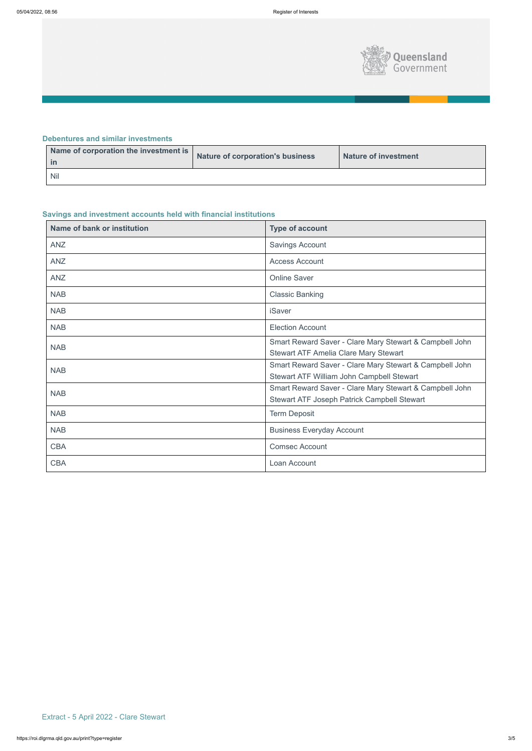

### **Debentures and similar investments**

| Name of corporation the investment is<br>in, | <b>Nature of corporation's business</b> | <b>Nature of investment</b> |
|----------------------------------------------|-----------------------------------------|-----------------------------|
| <b>Nil</b>                                   |                                         |                             |

# **Savings and investment accounts held with financial institutions**

| <b>Name of bank or institution</b> | <b>Type of account</b>                                                                                  |
|------------------------------------|---------------------------------------------------------------------------------------------------------|
| <b>ANZ</b>                         | <b>Savings Account</b>                                                                                  |
| <b>ANZ</b>                         | <b>Access Account</b>                                                                                   |
| <b>ANZ</b>                         | <b>Online Saver</b>                                                                                     |
| <b>NAB</b>                         | <b>Classic Banking</b>                                                                                  |
| <b>NAB</b>                         | iSaver                                                                                                  |
| <b>NAB</b>                         | <b>Election Account</b>                                                                                 |
| <b>NAB</b>                         | Smart Reward Saver - Clare Mary Stewart & Campbell John<br><b>Stewart ATF Amelia Clare Mary Stewart</b> |
| <b>NAB</b>                         | Smart Reward Saver - Clare Mary Stewart & Campbell John<br>Stewart ATF William John Campbell Stewart    |
| <b>NAB</b>                         | Smart Reward Saver - Clare Mary Stewart & Campbell John<br>Stewart ATF Joseph Patrick Campbell Stewart  |
| <b>NAB</b>                         | <b>Term Deposit</b>                                                                                     |
| <b>NAB</b>                         | <b>Business Everyday Account</b>                                                                        |
| <b>CBA</b>                         | <b>Comsec Account</b>                                                                                   |
| <b>CBA</b>                         | Loan Account                                                                                            |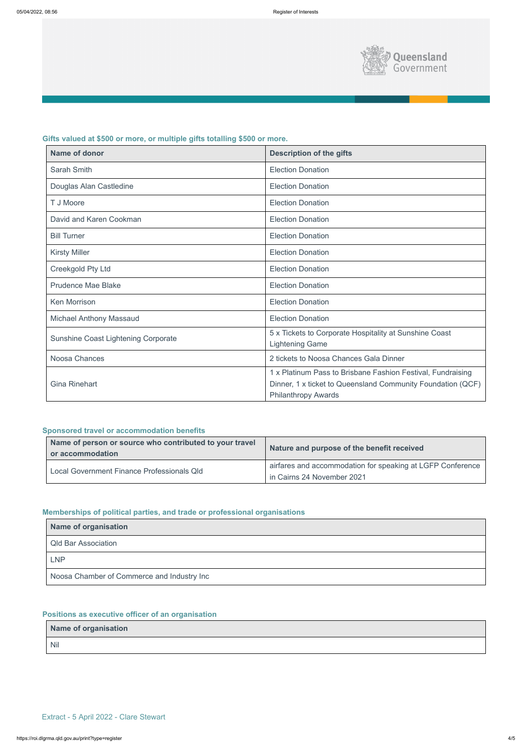

### **Gifts valued at \$500 or more, or multiple gifts totalling \$500 or more.**

| <b>Name of donor</b>                       | <b>Description of the gifts</b>                                                                                                                          |
|--------------------------------------------|----------------------------------------------------------------------------------------------------------------------------------------------------------|
| <b>Sarah Smith</b>                         | <b>Election Donation</b>                                                                                                                                 |
| Douglas Alan Castledine                    | <b>Election Donation</b>                                                                                                                                 |
| T J Moore                                  | <b>Election Donation</b>                                                                                                                                 |
| David and Karen Cookman                    | <b>Election Donation</b>                                                                                                                                 |
| <b>Bill Turner</b>                         | <b>Election Donation</b>                                                                                                                                 |
| <b>Kirsty Miller</b>                       | <b>Election Donation</b>                                                                                                                                 |
| <b>Creekgold Pty Ltd</b>                   | <b>Election Donation</b>                                                                                                                                 |
| <b>Prudence Mae Blake</b>                  | <b>Election Donation</b>                                                                                                                                 |
| <b>Ken Morrison</b>                        | <b>Election Donation</b>                                                                                                                                 |
| <b>Michael Anthony Massaud</b>             | <b>Election Donation</b>                                                                                                                                 |
| <b>Sunshine Coast Lightening Corporate</b> | 5 x Tickets to Corporate Hospitality at Sunshine Coast<br><b>Lightening Game</b>                                                                         |
| <b>Noosa Chances</b>                       | 2 tickets to Noosa Chances Gala Dinner                                                                                                                   |
| <b>Gina Rinehart</b>                       | 1 x Platinum Pass to Brisbane Fashion Festival, Fundraising<br>Dinner, 1 x ticket to Queensland Community Foundation (QCF)<br><b>Philanthropy Awards</b> |

| Name of organisation       |  |  |
|----------------------------|--|--|
| <b>Qld Bar Association</b> |  |  |
| <b>LNP</b>                 |  |  |

# **Sponsored travel or accommodation benefits**

| Name of person or source who contributed to your travel<br>or accommodation | Nature and purpose of the benefit received                                               |
|-----------------------------------------------------------------------------|------------------------------------------------------------------------------------------|
| Local Government Finance Professionals Qld                                  | airfares and accommodation for speaking at LGFP Conference<br>in Cairns 24 November 2021 |

# **Memberships of political parties, and trade or professional organisations**

### **Positions as executive officer of an organisation**

| Name of organisation |  |
|----------------------|--|
| <b>Nil</b>           |  |